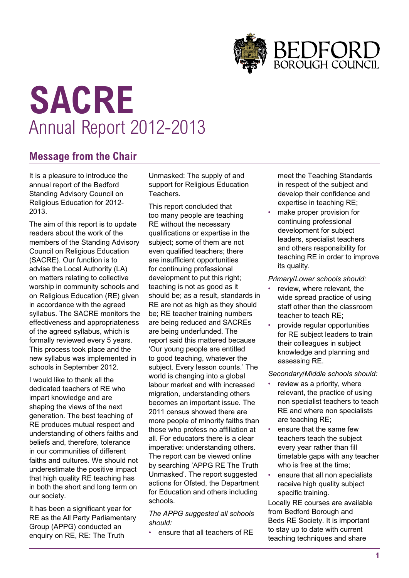

# **SACRE** Annual Report 2012-2013

# **Message from the Chair**

It is a pleasure to introduce the annual report of the Bedford Standing Advisory Council on Religious Education for 2012- 2013.

The aim of this report is to update readers about the work of the members of the Standing Advisory Council on Religious Education (SACRE). Our function is to advise the Local Authority (LA) on matters relating to collective worship in community schools and on Religious Education (RE) given in accordance with the agreed syllabus. The SACRE monitors the effectiveness and appropriateness of the agreed syllabus, which is formally reviewed every 5 years. This process took place and the new syllabus was implemented in schools in September 2012.

I would like to thank all the dedicated teachers of RE who impart knowledge and are shaping the views of the next generation. The best teaching of RE produces mutual respect and understanding of others faiths and beliefs and, therefore, tolerance in our communities of different faiths and cultures. We should not underestimate the positive impact that high quality RE teaching has in both the short and long term on our society.

It has been a significant year for RE as the All Party Parliamentary Group (APPG) conducted an enquiry on RE, RE: The Truth

Unmasked: The supply of and support for Religious Education Teachers.

This report concluded that too many people are teaching RE without the necessary qualifications or expertise in the subject; some of them are not even qualified teachers; there are insufficient opportunities for continuing professional development to put this right; teaching is not as good as it should be; as a result, standards in RE are not as high as they should be; RE teacher training numbers are being reduced and SACREs are being underfunded. The report said this mattered because 'Our young people are entitled to good teaching, whatever the subject. Every lesson counts.' The world is changing into a global labour market and with increased migration, understanding others becomes an important issue. The 2011 census showed there are more people of minority faiths than those who profess no affiliation at all. For educators there is a clear imperative: understanding others. The report can be viewed online by searching 'APPG RE The Truth Unmasked'. The report suggested actions for Ofsted, the Department for Education and others including schools.

*The APPG suggested all schools should:*

• ensure that all teachers of RE

meet the Teaching Standards in respect of the subject and develop their confidence and expertise in teaching RE;

make proper provision for continuing professional development for subject leaders, specialist teachers and others responsibility for teaching RE in order to improve its quality.

*Primary/Lower schools should:*

- review, where relevant, the wide spread practice of using staff other than the classroom teacher to teach RE;
- provide regular opportunities for RE subject leaders to train their colleagues in subject knowledge and planning and assessing RE.

*Secondary/Middle schools should:*

- review as a priority, where relevant, the practice of using non specialist teachers to teach RE and where non specialists are teaching RE;
- ensure that the same few teachers teach the subject every year rather than fill timetable gaps with any teacher who is free at the time;
- ensure that all non specialists receive high quality subject specific training.

Locally RE courses are available from Bedford Borough and Beds RE Society. It is important to stay up to date with current teaching techniques and share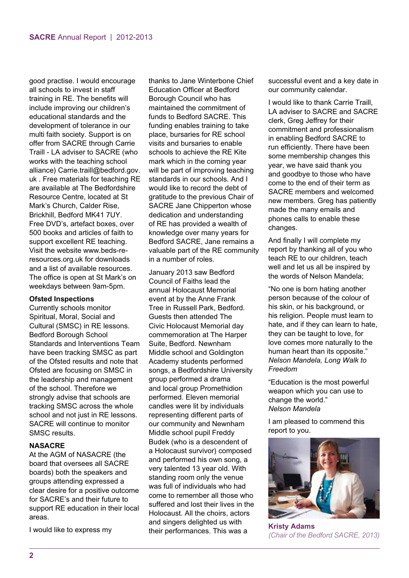good practise. I would encourage all schools to invest in staff training in RE. The benefits will include improving our children's educational standards and the development of tolerance in our multi faith society. Support is on offer from SACRE through Carrie Traill - LA adviser to SACRE (who works with the teaching school alliance) Carrie.traill@bedford.gov. uk . Free materials for teaching RE are available at The Bedfordshire Resource Centre, located at St Mark's Church, Calder Rise, Brickhill, Bedford MK41 7UY. Free DVD's, artefact boxes, over 500 books and articles of faith to support excellent RE teaching. Visit the website www.beds-reresources.org.uk for downloads and a list of available resources. The office is open at St Mark's on weekdays between 9am-5pm.

#### **Ofsted Inspections**

Currently schools monitor Spiritual, Moral, Social and Cultural (SMSC) in RE lessons. Bedford Borough School Standards and Interventions Team have been tracking SMSC as part of the Ofsted results and note that Ofsted are focusing on SMSC in the leadership and management of the school. Therefore we strongly advise that schools are tracking SMSC across the whole school and not just in RE lessons. SACRE will continue to monitor SMSC results.

#### **NASACRE**

At the AGM of NASACRE (the board that oversees all SACRE boards) both the speakers and groups attending expressed a clear desire for a positive outcome for SACRE's and their future to support RE education in their local areas.

I would like to express my

thanks to Jane Winterbone Chief Education Officer at Bedford Borough Council who has maintained the commitment of funds to Bedford SACRE. This funding enables training to take place, bursaries for RE school visits and bursaries to enable schools to achieve the RE Kite mark which in the coming year will be part of improving teaching standards in our schools. And I would like to record the debt of gratitude to the previous Chair of SACRE Jane Chipperton whose dedication and understanding of RE has provided a wealth of knowledge over many years for Bedford SACRE, Jane remains a valuable part of the RE community in a number of roles.

January 2013 saw Bedford Council of Faiths lead the annual Holocaust Memorial event at by the Anne Frank Tree in Russell Park, Bedford. Guests then attended The Civic Holocaust Memorial day commemoration at The Harper Suite, Bedford. Newnham Middle school and Goldington Academy students performed songs, a Bedfordshire University group performed a drama and local group Promethidion performed. Eleven memorial candles were lit by individuals representing different parts of our community and Newnham Middle school pupil Freddy Budek (who is a descendent of a Holocaust survivor) composed and performed his own song, a very talented 13 year old. With standing room only the venue was full of individuals who had come to remember all those who suffered and lost their lives in the Holocaust. All the choirs, actors and singers delighted us with their performances. This was a

successful event and a key date in our community calendar.

I would like to thank Carrie Traill, LA adviser to SACRE and SACRE clerk, Greg Jeffrey for their commitment and professionalism in enabling Bedford SACRE to run efficiently. There have been some membership changes this year, we have said thank you and goodbye to those who have come to the end of their term as SACRE members and welcomed new members. Greg has patiently made the many emails and phones calls to enable these changes.

And finally I will complete my report by thanking all of you who teach RE to our children, teach well and let us all be inspired by the words of Nelson Mandela;

"No one is born hating another person because of the colour of his skin, or his background, or his religion. People must learn to hate, and if they can learn to hate, they can be taught to love, for love comes more naturally to the human heart than its opposite." *Nelson Mandela, Long Walk to Freedom*

"Education is the most powerful weapon which you can use to change the world." *Nelson Mandela*

I am pleased to commend this report to you.



**Kristy Adams** *(Chair of the Bedford SACRE, 2013)*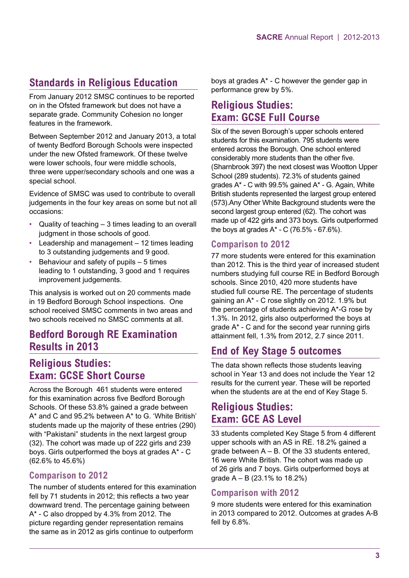# **Standards in Religious Education**

From January 2012 SMSC continues to be reported on in the Ofsted framework but does not have a separate grade. Community Cohesion no longer features in the framework.

Between September 2012 and January 2013, a total of twenty Bedford Borough Schools were inspected under the new Ofsted framework. Of these twelve were lower schools, four were middle schools, three were upper/secondary schools and one was a special school.

Evidence of SMSC was used to contribute to overall judgements in the four key areas on some but not all occasions:

- Quality of teaching  $-3$  times leading to an overall judgment in those schools of good.
- Leadership and management  $-12$  times leading to 3 outstanding judgements and 9 good.
- Behaviour and safety of pupils  $-5$  times leading to 1 outstanding, 3 good and 1 requires improvement judgements.

This analysis is worked out on 20 comments made in 19 Bedford Borough School inspections. One school received SMSC comments in two areas and two schools received no SMSC comments at all.

## **Bedford Borough RE Examination Results in 2013**

# **Religious Studies: Exam: GCSE Short Course**

Across the Borough 461 students were entered for this examination across five Bedford Borough Schools. Of these 53.8% gained a grade between A\* and C and 95.2% between A\* to G. 'White British' students made up the majority of these entries (290) with "Pakistani" students in the next largest group (32). The cohort was made up of 222 girls and 239 boys. Girls outperformed the boys at grades A\* - C (62.6% to 45.6%)

## **Comparison to 2012**

The number of students entered for this examination fell by 71 students in 2012; this reflects a two year downward trend. The percentage gaining between A\* - C also dropped by 4.3% from 2012. The picture regarding gender representation remains the same as in 2012 as girls continue to outperform

boys at grades A\* - C however the gender gap in performance grew by 5%.

## **Religious Studies: Exam: GCSE Full Course**

Six of the seven Borough's upper schools entered students for this examination. 795 students were entered across the Borough. One school entered considerably more students than the other five. (Sharnbrook 397) the next closest was Wootton Upper School (289 students). 72.3% of students gained grades A\* - C with 99.5% gained A\* - G. Again, White British students represented the largest group entered (573).Any Other White Background students were the second largest group entered (62). The cohort was made up of 422 girls and 373 boys. Girls outperformed the boys at grades  $A^* - C$  (76.5% - 67.6%).

## **Comparison to 2012**

77 more students were entered for this examination than 2012. This is the third year of increased student numbers studying full course RE in Bedford Borough schools. Since 2010, 420 more students have studied full course RE. The percentage of students gaining an A\* - C rose slightly on 2012. 1.9% but the percentage of students achieving A\*-G rose by 1.3%. In 2012, girls also outperformed the boys at grade A\* - C and for the second year running girls attainment fell, 1.3% from 2012, 2.7 since 2011.

## **End of Key Stage 5 outcomes**

The data shown reflects those students leaving school in Year 13 and does not include the Year 12 results for the current year. These will be reported when the students are at the end of Key Stage 5.

## **Religious Studies: Exam: GCE AS Level**

33 students completed Key Stage 5 from 4 different upper schools with an AS in RE. 18.2% gained a grade between  $A - B$ . Of the 33 students entered, 16 were White British. The cohort was made up of 26 girls and 7 boys. Girls outperformed boys at grade A – B (23.1% to 18.2%)

## **Comparison with 2012**

9 more students were entered for this examination in 2013 compared to 2012. Outcomes at grades A-B fell by 6.8%.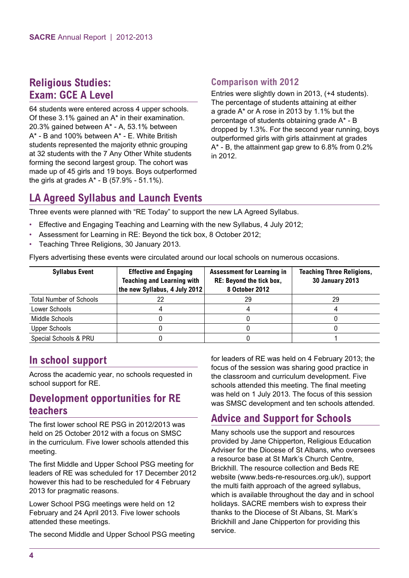## **Religious Studies: Exam: GCE A Level**

64 students were entered across 4 upper schools. Of these 3.1% gained an A\* in their examination. 20.3% gained between A\* - A, 53.1% between A\* - B and 100% between A\* - E. White British students represented the majority ethnic grouping at 32 students with the 7 Any Other White students forming the second largest group. The cohort was made up of 45 girls and 19 boys. Boys outperformed the girls at grades  $A^*$  - B (57.9% - 51.1%).

## **Comparison with 2012**

Entries were slightly down in 2013, (+4 students). The percentage of students attaining at either a grade A\* or A rose in 2013 by 1.1% but the percentage of students obtaining grade A\* - B dropped by 1.3%. For the second year running, boys outperformed girls with girls attainment at grades A\* - B, the attainment gap grew to 6.8% from 0.2% in 2012.

# **LA Agreed Syllabus and Launch Events**

Three events were planned with "RE Today" to support the new LA Agreed Syllabus.

- Effective and Engaging Teaching and Learning with the new Syllabus, 4 July 2012;
- Assessment for Learning in RE: Beyond the tick box, 8 October 2012;
- Teaching Three Religions, 30 January 2013.

Flyers advertising these events were circulated around our local schools on numerous occasions.

| <b>Syllabus Event</b>          | <b>Effective and Engaging</b><br><b>Teaching and Learning with</b><br>the new Syllabus, 4 July 2012 | <b>Assessment for Learning in</b><br>RE: Beyond the tick box,<br>8 October 2012 | <b>Teaching Three Religions,</b><br><b>30 January 2013</b> |
|--------------------------------|-----------------------------------------------------------------------------------------------------|---------------------------------------------------------------------------------|------------------------------------------------------------|
| <b>Total Number of Schools</b> |                                                                                                     | 29                                                                              | 29                                                         |
| Lower Schools                  |                                                                                                     |                                                                                 |                                                            |
| Middle Schools                 |                                                                                                     |                                                                                 |                                                            |
| <b>Upper Schools</b>           |                                                                                                     |                                                                                 |                                                            |
| Special Schools & PRU          |                                                                                                     |                                                                                 |                                                            |

## **In school support**

Across the academic year, no schools requested in school support for RE.

## **Development opportunities for RE teachers**

The first lower school RE PSG in 2012/2013 was held on 25 October 2012 with a focus on SMSC in the curriculum. Five lower schools attended this meeting.

The first Middle and Upper School PSG meeting for leaders of RE was scheduled for 17 December 2012 however this had to be rescheduled for 4 February 2013 for pragmatic reasons.

Lower School PSG meetings were held on 12 February and 24 April 2013. Five lower schools attended these meetings.

The second Middle and Upper School PSG meeting

for leaders of RE was held on 4 February 2013; the focus of the session was sharing good practice in the classroom and curriculum development. Five schools attended this meeting. The final meeting was held on 1 July 2013. The focus of this session was SMSC development and ten schools attended.

## **Advice and Support for Schools**

Many schools use the support and resources provided by Jane Chipperton, Religious Education Adviser for the Diocese of St Albans, who oversees a resource base at St Mark's Church Centre, Brickhill. The resource collection and Beds RE website (www.beds-re-resources.org.uk/), support the multi faith approach of the agreed syllabus, which is available throughout the day and in school holidays. SACRE members wish to express their thanks to the Diocese of St Albans, St. Mark's Brickhill and Jane Chipperton for providing this service.